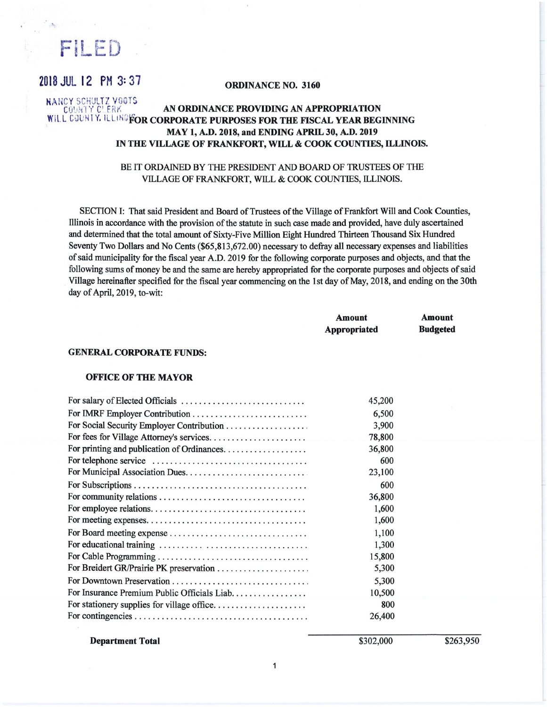FiLED

# 2018 JUL 12 PH 3: 37 **ORDINANCE NO. 3160**

#### **NAHCY SCHULTZ VGGTS** COUNTY CLERK **AN ORDINANCE PROVIDING AN APPROPRIATION WILL COUNTY. ILLINGFOR CORPORATE PURPOSES FOR THE FISCAL YEAR BEGINNING MAY 1, A.D. 2018, and ENDING APRIL 30, A.D. 2019 IN THE VILLAGE OF FRANKFORT, WILL** & **COOK COUNTIES, ILLINOIS.**

#### BE IT ORDAINED BY THE PRESIDENT AND BOARD OF TRUSTEES OF THE VILLAGE OF FRANKFORT, WILL & COOK COUNTIES, ILLINOIS.

SECTION I: That said President and Board of Trustees of the Village of Frankfort Will and Cook Counties, Illinois in accordance with the provision of the statute in such case made and provided, have duly ascertained and determined that the total amount of Sixty-Five Million Eight Hundred Thirteen Thousand Six Hundred Seventy Two Dollars and No Cents (\$65,813,672.00) necessary to defray all necessary expenses and liabilities of said municipality for the fiscal year A.D. 2019 for the following corporate purposes and objects, and that the following sums of money be and the same are hereby appropriated for the corporate purposes and objects of said Village hereinafter specified for the fiscal year commencing on the 1st day of May, 2018, and ending on the 30th day of April, 2019, to-wit:

|                                                                                                | <b>Amount</b><br><b>Appropriated</b> | <b>Amount</b><br><b>Budgeted</b> |
|------------------------------------------------------------------------------------------------|--------------------------------------|----------------------------------|
| <b>GENERAL CORPORATE FUNDS:</b>                                                                |                                      |                                  |
| <b>OFFICE OF THE MAYOR</b>                                                                     |                                      |                                  |
|                                                                                                | 45,200                               |                                  |
| For IMRF Employer Contribution                                                                 | 6,500                                |                                  |
| For Social Security Employer Contribution                                                      | 3,900                                |                                  |
|                                                                                                | 78,800                               |                                  |
|                                                                                                | 36,800                               |                                  |
| For telephone service $\ldots, \ldots, \ldots, \ldots, \ldots, \ldots, \ldots, \ldots, \ldots$ | 600                                  |                                  |
|                                                                                                | 23,100                               |                                  |
|                                                                                                | 600                                  |                                  |
|                                                                                                | 36,800                               |                                  |
|                                                                                                | 1,600                                |                                  |
|                                                                                                | 1,600                                |                                  |
|                                                                                                | 1,100                                |                                  |
|                                                                                                | 1,300                                |                                  |
|                                                                                                | 15,800                               |                                  |

| 15,800 |
|--------|
| 5,300  |
| 5,300  |
| 10,500 |
| 800    |
| 26,400 |
|        |

**Department Total** 

\$302,000

\$263,950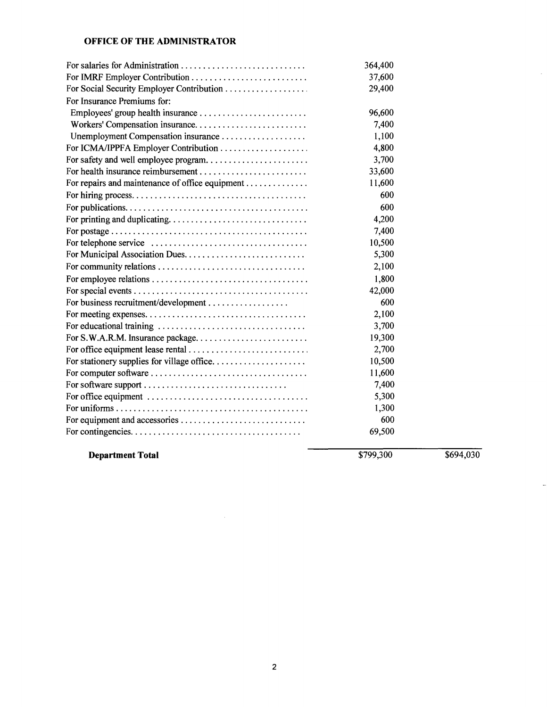## **OFFICE OF THE ADMINISTRATOR**

|                                                 | 364,400 |  |
|-------------------------------------------------|---------|--|
|                                                 | 37,600  |  |
|                                                 | 29,400  |  |
| For Insurance Premiums for:                     |         |  |
|                                                 | 96,600  |  |
|                                                 | 7,400   |  |
| Unemployment Compensation insurance             | 1,100   |  |
| For ICMA/IPPFA Employer Contribution            | 4,800   |  |
| For safety and well employee program            | 3,700   |  |
|                                                 | 33,600  |  |
| For repairs and maintenance of office equipment | 11,600  |  |
|                                                 | 600     |  |
|                                                 | 600     |  |
|                                                 | 4,200   |  |
|                                                 | 7,400   |  |
|                                                 | 10,500  |  |
|                                                 | 5,300   |  |
|                                                 | 2,100   |  |
|                                                 | 1,800   |  |
|                                                 | 42,000  |  |
|                                                 | 600     |  |
|                                                 | 2,100   |  |
|                                                 | 3,700   |  |
| For S.W.A.R.M. Insurance package                | 19,300  |  |
|                                                 | 2,700   |  |
|                                                 | 10,500  |  |
|                                                 | 11,600  |  |
| For software support                            | 7,400   |  |
|                                                 | 5,300   |  |
|                                                 | 1,300   |  |
| For equipment and accessories                   | 600     |  |
|                                                 | 69,500  |  |

**Department Total** 

 $\frac{$799,300}{$694,030}$ 

L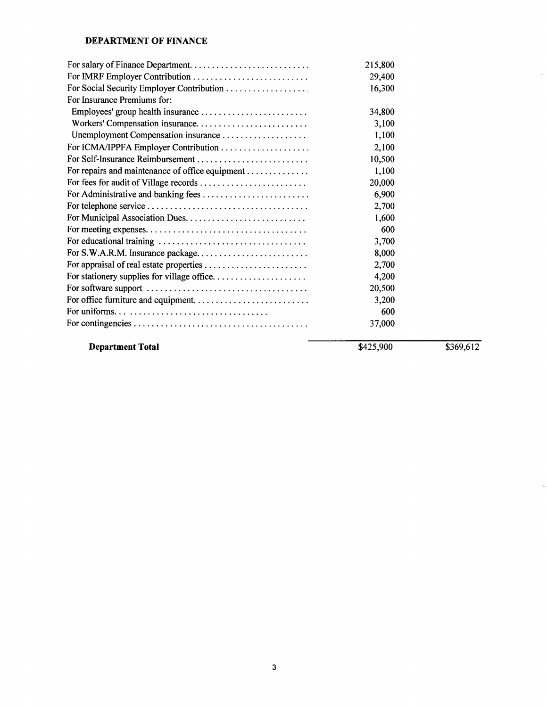## **DEPARTMENT OF FINANCE**

|                                                 | 215,800 |  |
|-------------------------------------------------|---------|--|
|                                                 | 29,400  |  |
|                                                 | 16,300  |  |
| For Insurance Premiums for:                     |         |  |
|                                                 | 34,800  |  |
|                                                 | 3,100   |  |
| Unemployment Compensation insurance             | 1,100   |  |
| For ICMA/IPPFA Employer Contribution            | 2,100   |  |
| For Self-Insurance Reimbursement                | 10,500  |  |
| For repairs and maintenance of office equipment | 1,100   |  |
| For fees for audit of Village records           | 20,000  |  |
| For Administrative and banking fees             | 6,900   |  |
|                                                 | 2,700   |  |
|                                                 | 1,600   |  |
|                                                 | 600     |  |
|                                                 | 3,700   |  |
| For S.W.A.R.M. Insurance package                | 8,000   |  |
| For appraisal of real estate properties         | 2,700   |  |
| For stationery supplies for village office      | 4,200   |  |
|                                                 | 20,500  |  |
| For office furniture and equipment              | 3,200   |  |
|                                                 | 600     |  |
|                                                 | 37,000  |  |

# **Department Total**

\$425,900 \$369,612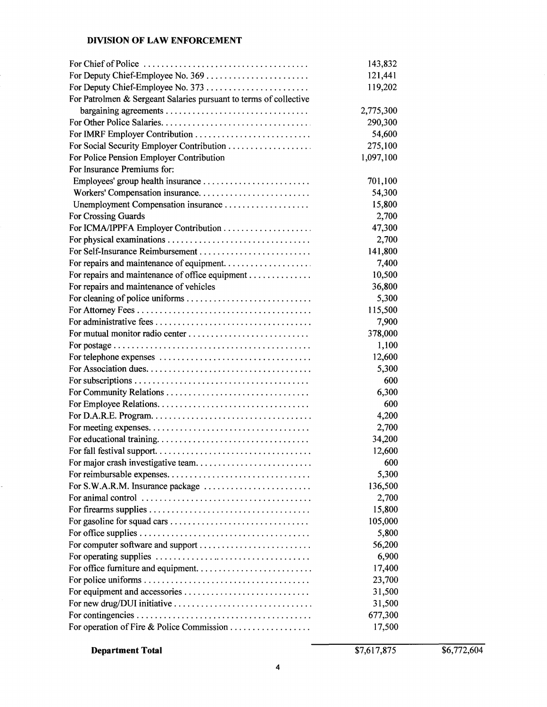# **DIVISION OF LAW ENFORCEMENT**

|                                                                   | 143,832   |
|-------------------------------------------------------------------|-----------|
|                                                                   | 121,441   |
| For Deputy Chief-Employee No. 373                                 | 119,202   |
| For Patrolmen & Sergeant Salaries pursuant to terms of collective |           |
|                                                                   | 2,775,300 |
|                                                                   | 290,300   |
|                                                                   | 54,600    |
|                                                                   | 275,100   |
| For Police Pension Employer Contribution                          | 1,097,100 |
| For Insurance Premiums for:                                       |           |
|                                                                   | 701,100   |
|                                                                   | 54,300    |
| Unemployment Compensation insurance                               | 15,800    |
| For Crossing Guards                                               | 2,700     |
| For ICMA/IPPFA Employer Contribution                              | 47,300    |
|                                                                   | 2,700     |
|                                                                   | 141,800   |
|                                                                   | 7,400     |
| For repairs and maintenance of office equipment                   | 10,500    |
| For repairs and maintenance of vehicles                           | 36,800    |
| For cleaning of police uniforms                                   | 5,300     |
|                                                                   | 115,500   |
|                                                                   | 7,900     |
|                                                                   | 378,000   |
|                                                                   | 1,100     |
|                                                                   | 12,600    |
|                                                                   | 5,300     |
|                                                                   | 600       |
|                                                                   | 6,300     |
|                                                                   | 600       |
|                                                                   | 4,200     |
|                                                                   | 2,700     |
|                                                                   | 34,200    |
|                                                                   | 12,600    |
|                                                                   | 600       |
|                                                                   | 5,300     |
| For S.W.A.R.M. Insurance package                                  | 136,500   |
|                                                                   | 2,700     |
|                                                                   | 15,800    |
|                                                                   | 105,000   |
|                                                                   | 5,800     |
|                                                                   |           |
| For computer software and support                                 | 56,200    |
|                                                                   | 6,900     |
|                                                                   | 17,400    |
|                                                                   | 23,700    |
| For equipment and accessories                                     | 31,500    |
|                                                                   | 31,500    |
|                                                                   | 677,300   |
|                                                                   | 17,500    |

**Department Total** 

ł,

\$7,617,875 \$6,772,604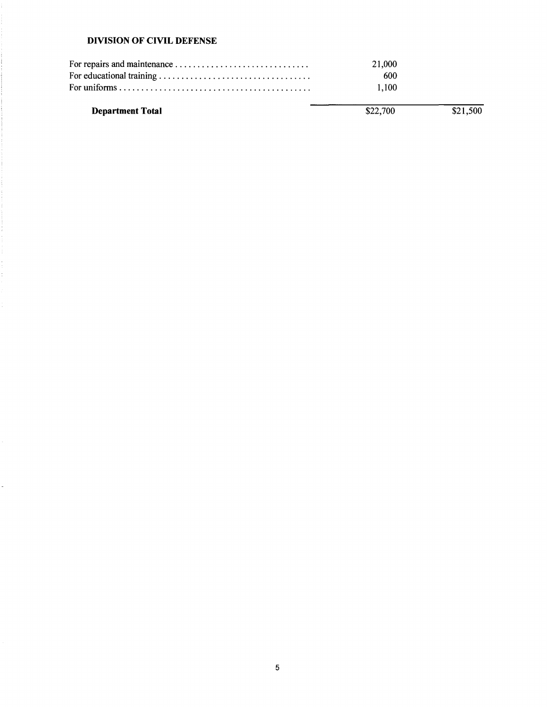## **DIVISION OF CIVIL DEFENSE**

t.

k,

| 21,000 |  |
|--------|--|
| 600    |  |
| 1.100  |  |
|        |  |

| \$22,700 | \$21,500 |
|----------|----------|
|          |          |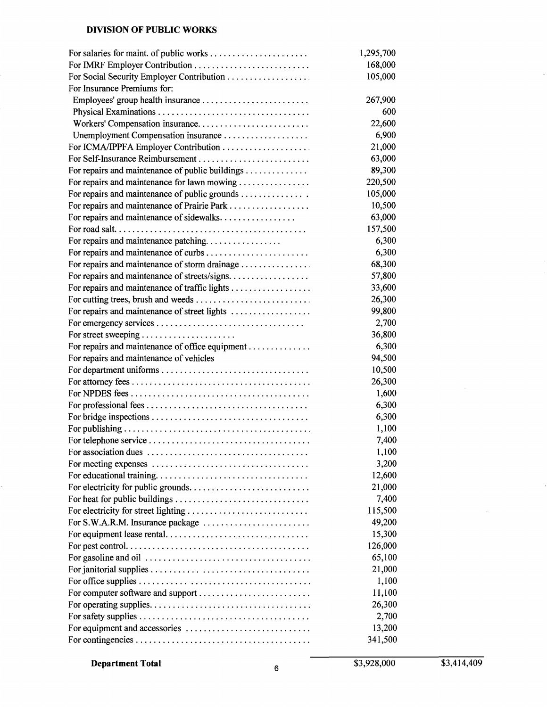## **DIVISION OF PUBLIC WORKS**

|                                                 | 1,295,700 |
|-------------------------------------------------|-----------|
|                                                 | 168,000   |
| For Social Security Employer Contribution       | 105,000   |
| For Insurance Premiums for:                     |           |
| Employees' group health insurance               | 267,900   |
|                                                 | 600       |
| Workers' Compensation insurance                 | 22,600    |
|                                                 | 6,900     |
|                                                 | 21,000    |
|                                                 | 63,000    |
| For repairs and maintenance of public buildings | 89,300    |
| For repairs and maintenance for lawn mowing     | 220,500   |
| For repairs and maintenance of public grounds   | 105,000   |
|                                                 | 10,500    |
| For repairs and maintenance of sidewalks        | 63,000    |
|                                                 | 157,500   |
| For repairs and maintenance patching            | 6,300     |
|                                                 | 6,300     |
|                                                 | 68,300    |
| For repairs and maintenance of storm drainage   |           |
| For repairs and maintenance of streets/signs    | 57,800    |
| For repairs and maintenance of traffic lights   | 33,600    |
|                                                 | 26,300    |
| For repairs and maintenance of street lights    | 99,800    |
|                                                 | 2,700     |
| For street sweeping                             | 36,800    |
| For repairs and maintenance of office equipment | 6,300     |
| For repairs and maintenance of vehicles         | 94,500    |
|                                                 | 10,500    |
|                                                 | 26,300    |
|                                                 | 1,600     |
|                                                 | 6,300     |
|                                                 | 6,300     |
|                                                 | 1,100     |
|                                                 | 7,400     |
|                                                 | 1,100     |
|                                                 | 3,200     |
|                                                 | 12,600    |
|                                                 | 21,000    |
|                                                 | 7,400     |
|                                                 | 115,500   |
|                                                 | 49,200    |
|                                                 | 15,300    |
|                                                 | 126,000   |
|                                                 | 65,100    |
|                                                 | 21,000    |
|                                                 | 1,100     |
| For computer software and support               | 11,100    |
|                                                 | 26,300    |
|                                                 | 2,700     |
|                                                 | 13,200    |
|                                                 | 341,500   |
|                                                 |           |

 $\overline{\phantom{a}}$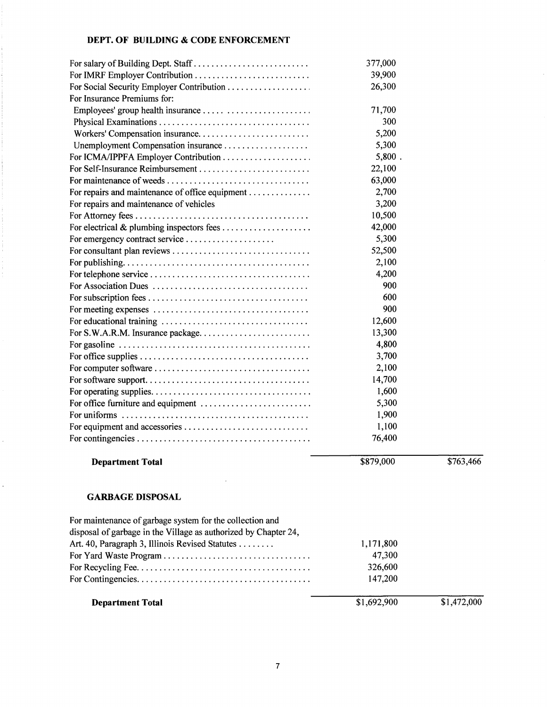## **DEPT. OF BUILDING** & **CODE ENFORCEMENT**

ý.

Ê,

| For salary of Building Dept. Staff                              | 377,000     |             |
|-----------------------------------------------------------------|-------------|-------------|
| For IMRF Employer Contribution                                  | 39,900      |             |
|                                                                 | 26,300      |             |
| For Insurance Premiums for:                                     |             |             |
|                                                                 | 71,700      |             |
|                                                                 | 300         |             |
|                                                                 | 5,200       |             |
| Unemployment Compensation insurance                             | 5,300       |             |
|                                                                 | $5,800$ .   |             |
|                                                                 | 22,100      |             |
|                                                                 | 63,000      |             |
| For repairs and maintenance of office equipment                 | 2,700       |             |
| For repairs and maintenance of vehicles                         | 3,200       |             |
|                                                                 | 10,500      |             |
|                                                                 | 42,000      |             |
| For emergency contract service                                  | 5,300       |             |
|                                                                 | 52,500      |             |
|                                                                 | 2,100       |             |
|                                                                 | 4,200       |             |
|                                                                 | 900         |             |
|                                                                 | 600         |             |
|                                                                 | 900         |             |
|                                                                 | 12,600      |             |
|                                                                 | 13,300      |             |
|                                                                 | 4,800       |             |
|                                                                 | 3,700       |             |
|                                                                 | 2,100       |             |
|                                                                 | 14,700      |             |
|                                                                 | 1,600       |             |
| For office furniture and equipment                              | 5,300       |             |
|                                                                 | 1,900       |             |
|                                                                 | 1,100       |             |
|                                                                 | 76,400      |             |
| <b>Department Total</b>                                         | \$879,000   | \$763,466   |
| <b>GARBAGE DISPOSAL</b>                                         |             |             |
| For maintenance of garbage system for the collection and        |             |             |
| disposal of garbage in the Village as authorized by Chapter 24, |             |             |
| Art. 40, Paragraph 3, Illinois Revised Statutes                 | 1,171,800   |             |
|                                                                 | 47,300      |             |
|                                                                 | 326,600     |             |
|                                                                 | 147,200     |             |
|                                                                 |             |             |
| <b>Department Total</b>                                         | \$1,692,900 | \$1,472,000 |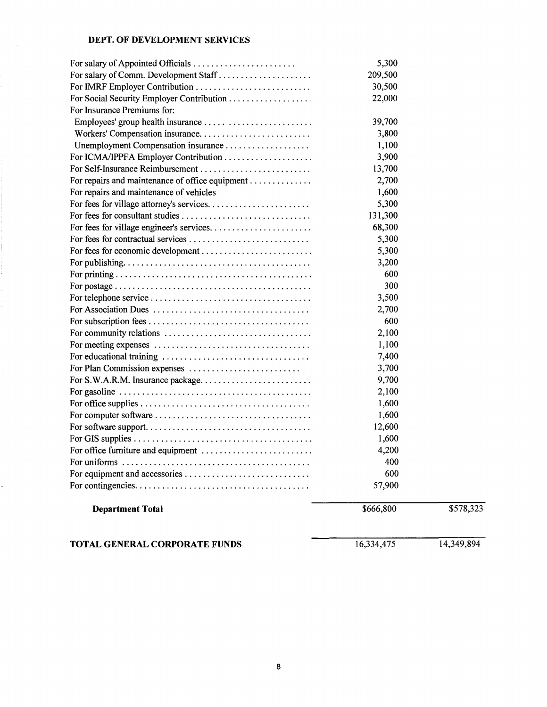### **DEPT. OF DEVELOPMENT SERVICES**

÷,

| TOTAL GENERAL CORPORATE FUNDS                                                                 | 16,334,475   | 14,349,894 |
|-----------------------------------------------------------------------------------------------|--------------|------------|
| <b>Department Total</b>                                                                       | \$666,800    | \$578,323  |
|                                                                                               |              |            |
|                                                                                               | 57,900       |            |
|                                                                                               | 600          |            |
|                                                                                               | 4,200<br>400 |            |
|                                                                                               | 1,600        |            |
|                                                                                               | 12,600       |            |
|                                                                                               | 1,600        |            |
| For office supplies $\dots \dots \dots \dots \dots \dots \dots \dots \dots \dots \dots \dots$ | 1,600        |            |
|                                                                                               | 2,100        |            |
| For S.W.A.R.M. Insurance package                                                              | 9,700        |            |
|                                                                                               | 3,700        |            |
|                                                                                               | 7,400        |            |
|                                                                                               | 1,100        |            |
|                                                                                               | 2,100        |            |
|                                                                                               | 600          |            |
|                                                                                               | 2,700        |            |
|                                                                                               | 3,500        |            |
|                                                                                               | 300          |            |
|                                                                                               | 600          |            |
|                                                                                               | 3,200        |            |
|                                                                                               | 5,300        |            |
|                                                                                               | 5,300        |            |
|                                                                                               | 68,300       |            |
|                                                                                               | 131,300      |            |
|                                                                                               | 5,300        |            |
| For repairs and maintenance of vehicles                                                       | 1,600        |            |
| For repairs and maintenance of office equipment                                               | 2,700        |            |
|                                                                                               | 13,700       |            |
| For ICMA/IPPFA Employer Contribution                                                          | 3,900        |            |
|                                                                                               | 1,100        |            |
|                                                                                               | 3,800        |            |
|                                                                                               | 39,700       |            |
| For Insurance Premiums for:                                                                   |              |            |
| For Social Security Employer Contribution                                                     | 22,000       |            |
| For IMRF Employer Contribution                                                                | 30,500       |            |
| For salary of Comm. Development Staff                                                         | 209,500      |            |
|                                                                                               | 5,300        |            |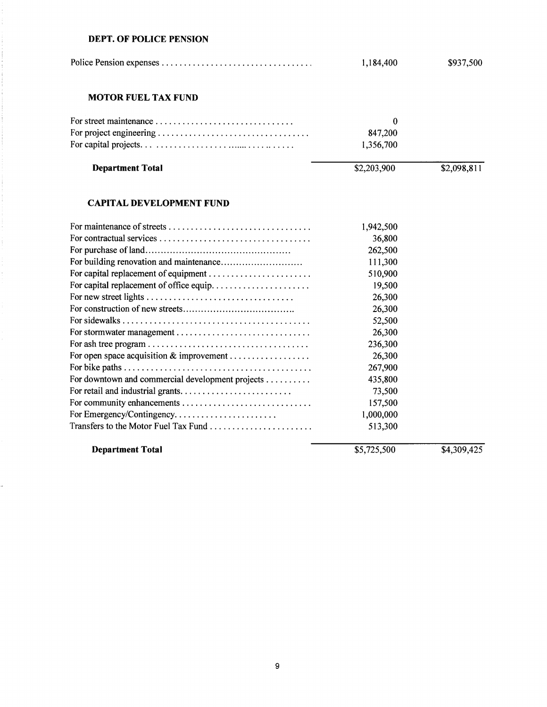#### **DEPT. OF POLICE PENSION**

J,

|                                                  | 1,184,400   | \$937,500   |
|--------------------------------------------------|-------------|-------------|
| <b>MOTOR FUEL TAX FUND</b>                       |             |             |
|                                                  | $\bf{0}$    |             |
|                                                  | 847,200     |             |
|                                                  | 1,356,700   |             |
| <b>Department Total</b>                          | \$2,203,900 | \$2,098,811 |
| <b>CAPITAL DEVELOPMENT FUND</b>                  |             |             |
|                                                  | 1,942,500   |             |
|                                                  | 36,800      |             |
|                                                  | 262,500     |             |
|                                                  | 111,300     |             |
| For capital replacement of equipment             | 510,900     |             |
| For capital replacement of office equip          | 19,500      |             |
|                                                  | 26,300      |             |
|                                                  | 26,300      |             |
|                                                  | 52,500      |             |
|                                                  | 26,300      |             |
|                                                  | 236,300     |             |
|                                                  | 26,300      |             |
|                                                  | 267,900     |             |
| For downtown and commercial development projects | 435,800     |             |
|                                                  | 73,500      |             |
| For community enhancements                       | 157,500     |             |
| For Emergency/Contingency                        | 1,000,000   |             |
| Transfers to the Motor Fuel Tax Fund             | 513,300     |             |
| <b>Department Total</b>                          | \$5,725,500 | \$4,309,425 |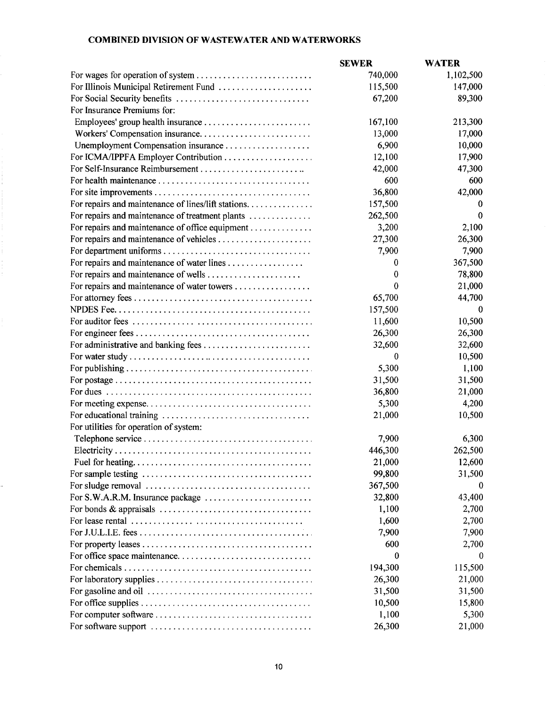### **COMBINED DIVISION OF WASTEWATER AND WATERWORKS**

|                                                                                          | <b>SEWER</b> | <b>WATER</b> |
|------------------------------------------------------------------------------------------|--------------|--------------|
|                                                                                          | 740,000      | 1,102,500    |
| For Illinois Municipal Retirement Fund                                                   | 115,500      | 147,000      |
|                                                                                          | 67,200       | 89,300       |
| For Insurance Premiums for:                                                              |              |              |
|                                                                                          | 167,100      | 213,300      |
|                                                                                          | 13,000       | 17,000       |
|                                                                                          | 6,900        | 10,000       |
|                                                                                          | 12,100       | 17,900       |
|                                                                                          | 42,000       | 47,300       |
|                                                                                          | 600          | 600          |
|                                                                                          | 36,800       | 42,000       |
| For repairs and maintenance of lines/lift stations.                                      | 157,500      | 0            |
| For repairs and maintenance of treatment plants                                          | 262,500      | 0            |
| For repairs and maintenance of office equipment                                          | 3,200        | 2,100        |
| For repairs and maintenance of vehicles                                                  | 27,300       | 26,300       |
|                                                                                          | 7,900        | 7,900        |
|                                                                                          | $\bf{0}$     | 367,500      |
|                                                                                          | 0            | 78,800       |
| For repairs and maintenance of water towers                                              | $\bf{0}$     | 21,000       |
|                                                                                          | 65,700       | 44,700       |
|                                                                                          | 157,500      | $\theta$     |
|                                                                                          | 11,600       | 10,500       |
|                                                                                          | 26,300       | 26,300       |
|                                                                                          | 32,600       | 32,600       |
|                                                                                          | $\bf{0}$     | 10,500       |
|                                                                                          | 5,300        | 1,100        |
|                                                                                          | 31,500       | 31,500       |
|                                                                                          | 36,800       | 21,000       |
|                                                                                          | 5,300        | 4,200        |
|                                                                                          | 21,000       | 10,500       |
| For utilities for operation of system:                                                   |              |              |
|                                                                                          | 7,900        | 6,300        |
|                                                                                          | 446,300      | 262,500      |
|                                                                                          | 21,000       | 12,600       |
|                                                                                          | 99,800       | 31,500       |
|                                                                                          | 367,500      | 0            |
| For S.W.A.R.M. Insurance package                                                         | 32,800       | 43,400       |
|                                                                                          | 1,100        | 2,700        |
| For lease rental $\ldots \ldots \ldots \ldots \ldots \ldots \ldots \ldots \ldots \ldots$ | 1,600        | 2,700        |
|                                                                                          | 7,900        | 7,900        |
|                                                                                          | 600          | 2,700        |
|                                                                                          | 0            | 0            |
|                                                                                          | 194,300      | 115,500      |
|                                                                                          | 26,300       | 21,000       |
|                                                                                          | 31,500       | 31,500       |
|                                                                                          | 10,500       | 15,800       |
|                                                                                          | 1,100        | 5,300        |
|                                                                                          | 26,300       | 21,000       |

÷,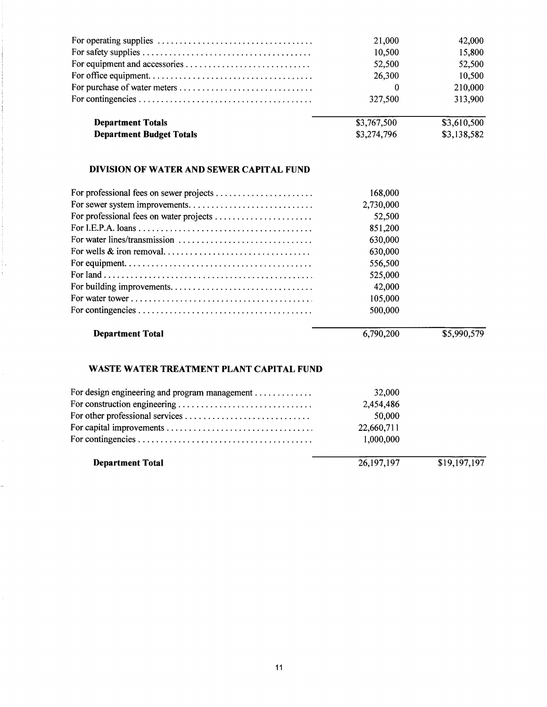| <b>Department Budget Totals</b>                                                         | \$3,274,796 | \$3,138,582 |
|-----------------------------------------------------------------------------------------|-------------|-------------|
| <b>Department Totals</b>                                                                | \$3,767,500 | \$3,610,500 |
|                                                                                         | 327,500     | 313,900     |
| For purchase of water meters                                                            | 0           | 210,000     |
|                                                                                         | 26,300      | 10,500      |
|                                                                                         | 52,500      | 52,500      |
|                                                                                         | 10,500      | 15,800      |
| For operating supplies $\ldots, \ldots, \ldots, \ldots, \ldots, \ldots, \ldots, \ldots$ | 21,000      | 42,000      |

## **DIVISION OF WATER AND SEWER CAPITAL FUND**

| 168,000   |  |
|-----------|--|
| 2,730,000 |  |
| 52,500    |  |
| 851,200   |  |
| 630,000   |  |
| 630,000   |  |
| 556,500   |  |
| 525,000   |  |
| 42,000    |  |
| 105,000   |  |
| 500,000   |  |
|           |  |

## **Department Total**

ļ, ÷,

 $\overline{a}$ 

6,790,200

## \$5,990,579

# **WASTE WATER TREATMENT PLANT CAPITAL FUND**

| <b>Department Total</b>                       | 26, 197, 197 | \$19,197,197 |
|-----------------------------------------------|--------------|--------------|
|                                               | 1,000,000    |              |
|                                               | 22,660,711   |              |
|                                               | 50,000       |              |
|                                               | 2,454,486    |              |
| For design engineering and program management | 32,000       |              |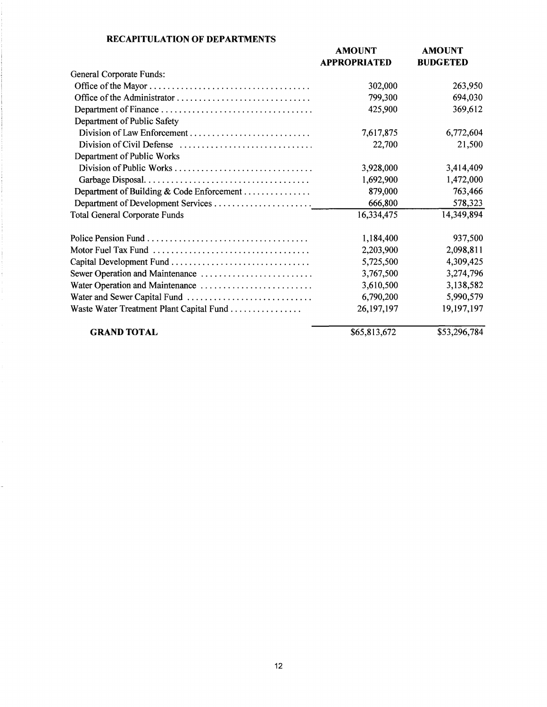| <b>RECAPITULATION OF DEPARTMENTS</b> |  |  |
|--------------------------------------|--|--|
|--------------------------------------|--|--|

÷,

|                                           | <b>AMOUNT</b><br><b>APPROPRIATED</b> | <b>AMOUNT</b><br><b>BUDGETED</b> |
|-------------------------------------------|--------------------------------------|----------------------------------|
| General Corporate Funds:                  |                                      |                                  |
|                                           | 302,000                              | 263,950                          |
|                                           | 799,300                              | 694,030                          |
|                                           | 425,900                              | 369,612                          |
| Department of Public Safety               |                                      |                                  |
| Division of Law Enforcement               | 7,617,875                            | 6,772,604                        |
|                                           | 22,700                               | 21,500                           |
| Department of Public Works                |                                      |                                  |
|                                           | 3,928,000                            | 3,414,409                        |
|                                           | 1,692,900                            | 1,472,000                        |
| Department of Building & Code Enforcement | 879,000                              | 763,466                          |
|                                           | 666,800                              | 578,323                          |
| <b>Total General Corporate Funds</b>      | 16,334,475                           | 14,349,894                       |
|                                           | 1,184,400                            | 937,500                          |
|                                           | 2,203,900                            | 2,098,811                        |
| Capital Development Fund                  | 5,725,500                            | 4,309,425                        |
| Sewer Operation and Maintenance           | 3,767,500                            | 3,274,796                        |
| Water Operation and Maintenance           | 3,610,500                            | 3,138,582                        |
|                                           | 6,790,200                            | 5,990,579                        |
| Waste Water Treatment Plant Capital Fund  | 26, 197, 197                         | 19,197,197                       |
| <b>GRAND TOTAL</b>                        | \$65,813,672                         | \$53,296,784                     |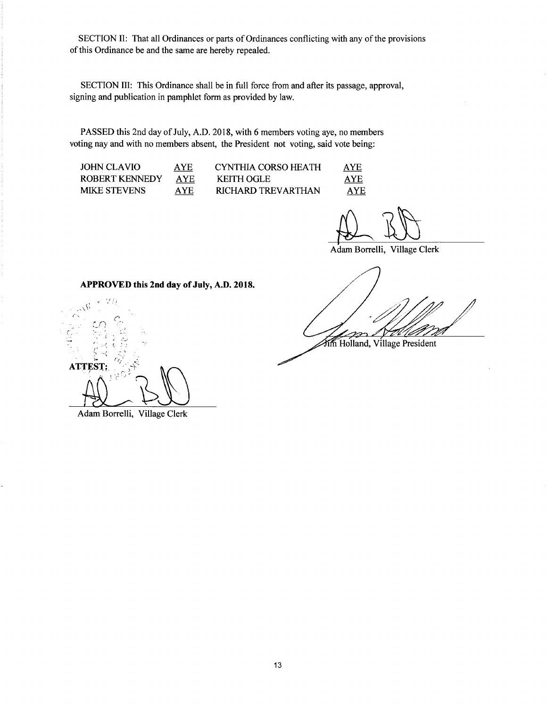SECTION II: That all Ordinances or parts of Ordinances conflicting with any of the provisions of this Ordinance be and the same are hereby repealed.

SECTION III: This Ordinance shall be in full force from and after its passage, approval, signing and publication in pamphlet form as provided by law.

PASSED this 2nd day of July, A.O. 2018, with 6 members voting aye, no members voting nay and with no members absent, the President not voting, said vote being:

| JOHN CLAVIO    | AYE. | CYNTHIA CORSO HEATH | AYE        |
|----------------|------|---------------------|------------|
| ROBERT KENNEDY | AYE. | <b>KEITH OGLE</b>   | <b>AYE</b> |
| MIKE STEVENS   | AYE  | RICHARD TREVARTHAN  | AYE        |

Adam Borrelli, Village Clerk

Fim Holland, Village President

**APPROVED this 2nd day of July, A.D. 2018 .** 

 $\frac{1}{\sqrt{3}}$  . (a)  $\frac{1}{2}$ /'·. *r*  ,, *,·\_:*  **ATTEST:** 

Adam Borrelli, Village Clerk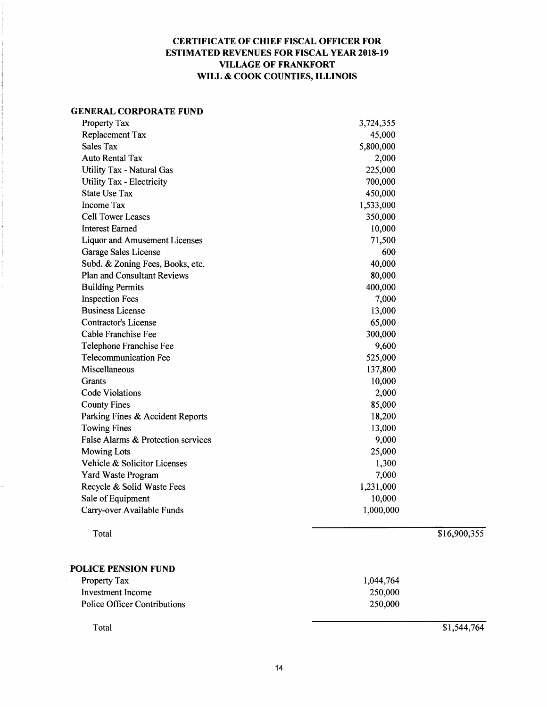## **CERTIFICATE OF CHIEF FISCAL OFFICER FOR ESTIMATED REVENUES FOR FISCAL YEAR 2018-19 VILLAGE OF FRANKFORT WILL** & **COOK COUNTIES, ILLINOIS**

#### **GENERAL CORPORATE FUND**

| Property Tax                         | 3,724,355 |  |
|--------------------------------------|-----------|--|
| Replacement Tax                      | 45,000    |  |
| Sales Tax                            | 5,800,000 |  |
| <b>Auto Rental Tax</b>               | 2,000     |  |
| <b>Utility Tax - Natural Gas</b>     | 225,000   |  |
| Utility Tax - Electricity            | 700,000   |  |
| <b>State Use Tax</b>                 | 450,000   |  |
| Income Tax                           | 1,533,000 |  |
| <b>Cell Tower Leases</b>             | 350,000   |  |
| <b>Interest Earned</b>               | 10,000    |  |
| <b>Liquor and Amusement Licenses</b> | 71,500    |  |
| Garage Sales License                 | 600       |  |
| Subd. & Zoning Fees, Books, etc.     | 40,000    |  |
| <b>Plan and Consultant Reviews</b>   | 80,000    |  |
| <b>Building Permits</b>              | 400,000   |  |
| <b>Inspection Fees</b>               | 7,000     |  |
| <b>Business License</b>              | 13,000    |  |
| <b>Contractor's License</b>          | 65,000    |  |
| Cable Franchise Fee                  | 300,000   |  |
| Telephone Franchise Fee              | 9,600     |  |
| Telecommunication Fee                | 525,000   |  |
| Miscellaneous                        | 137,800   |  |
| <b>Grants</b>                        | 10,000    |  |
| <b>Code Violations</b>               | 2,000     |  |
| <b>County Fines</b>                  | 85,000    |  |
| Parking Fines & Accident Reports     | 18,200    |  |
| <b>Towing Fines</b>                  | 13,000    |  |
| False Alarms & Protection services   | 9,000     |  |
| <b>Mowing Lots</b>                   | 25,000    |  |
| Vehicle & Solicitor Licenses         | 1,300     |  |
| Yard Waste Program                   | 7,000     |  |
| Recycle & Solid Waste Fees           | 1,231,000 |  |
| Sale of Equipment                    | 10,000    |  |
| Carry-over Available Funds           | 1,000,000 |  |
|                                      |           |  |

Total

\$16,900,355

#### **POLICE PENSION FUND**

| Property Tax                 | 1,044,764 |
|------------------------------|-----------|
| Investment Income            | 250,000   |
| Police Officer Contributions | 250,000   |

Total

\$1,544,764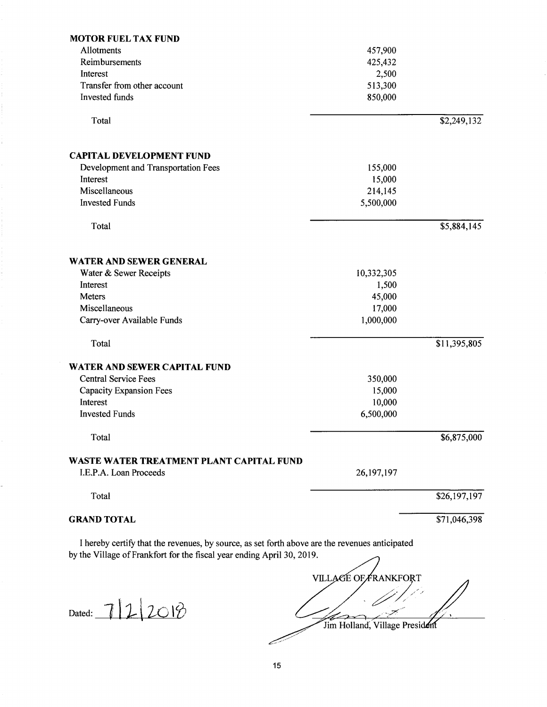| <b>MOTOR FUEL TAX FUND</b>                                                                                                                                               |                             |              |
|--------------------------------------------------------------------------------------------------------------------------------------------------------------------------|-----------------------------|--------------|
| Allotments                                                                                                                                                               | 457,900                     |              |
| Reimbursements                                                                                                                                                           | 425,432                     |              |
| Interest                                                                                                                                                                 | 2,500                       |              |
| Transfer from other account                                                                                                                                              | 513,300                     |              |
| <b>Invested</b> funds                                                                                                                                                    | 850,000                     |              |
| Total                                                                                                                                                                    |                             | \$2,249,132  |
|                                                                                                                                                                          |                             |              |
| <b>CAPITAL DEVELOPMENT FUND</b>                                                                                                                                          |                             |              |
| Development and Transportation Fees                                                                                                                                      | 155,000                     |              |
| Interest                                                                                                                                                                 | 15,000                      |              |
| Miscellaneous                                                                                                                                                            | 214,145                     |              |
| <b>Invested Funds</b>                                                                                                                                                    | 5,500,000                   |              |
|                                                                                                                                                                          |                             |              |
| Total                                                                                                                                                                    |                             | \$5,884,145  |
| WATER AND SEWER GENERAL                                                                                                                                                  |                             |              |
| Water & Sewer Receipts                                                                                                                                                   | 10,332,305                  |              |
| Interest                                                                                                                                                                 | 1,500                       |              |
| Meters                                                                                                                                                                   | 45,000                      |              |
| Miscellaneous                                                                                                                                                            | 17,000                      |              |
| Carry-over Available Funds                                                                                                                                               | 1,000,000                   |              |
|                                                                                                                                                                          |                             |              |
| Total                                                                                                                                                                    |                             | \$11,395,805 |
| <b>WATER AND SEWER CAPITAL FUND</b>                                                                                                                                      |                             |              |
| <b>Central Service Fees</b>                                                                                                                                              | 350,000                     |              |
| Capacity Expansion Fees                                                                                                                                                  | 15,000                      |              |
| Interest                                                                                                                                                                 | 10,000                      |              |
| <b>Invested Funds</b>                                                                                                                                                    | 6,500,000                   |              |
|                                                                                                                                                                          |                             |              |
| Total                                                                                                                                                                    |                             | \$6,875,000  |
| WASTE WATER TREATMENT PLANT CAPITAL FUND                                                                                                                                 |                             |              |
| I.E.P.A. Loan Proceeds                                                                                                                                                   | 26, 197, 197                |              |
| Total                                                                                                                                                                    |                             | \$26,197,197 |
| <b>GRAND TOTAL</b>                                                                                                                                                       |                             | \$71,046,398 |
| I hereby certify that the revenues, by source, as set forth above are the revenues anticipated<br>by the Village of Frankfort for the fiscal year ending April 30, 2019. |                             |              |
|                                                                                                                                                                          | <b>VILLAGE OF FRANKFORT</b> |              |
|                                                                                                                                                                          |                             |              |

Dated:  $7|2|20|8$ 

Jim Holland, Village President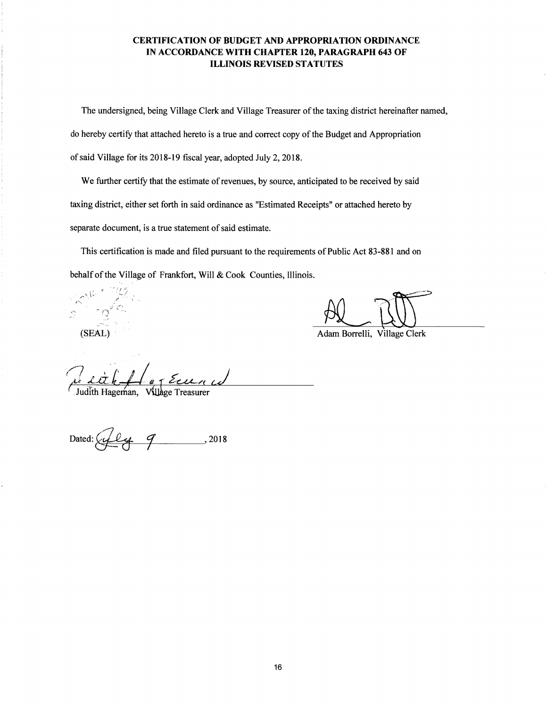### **CERTIFICATION OF BUDGET AND APPROPRIATION ORDINANCE IN ACCORDANCE WITH CHAPTER 120, PARAGRAPH 643 OF ILLINOIS REVISED STATUTES**

The undersigned, being Village Clerk and Village Treasurer of the taxing district hereinafter named, do hereby certify that attached hereto is a true and correct copy of the Budget and Appropriation of said Village for its 2018-19 fiscal year, adopted July 2, 2018.

We further certify that the estimate of revenues, by source, anticipated to be received by said taxing district, either set forth in said ordinance as "Estimated Receipts" or attached hereto by separate document, is a true statement of said estimate.

This certification is made and filed pursuant to the requirements of Public Act 83-881 and on

behalf of the Village of Frankfort, Will & Cook Counties, Illinois.

c <sup>+ 1</sup> } *t* >  $\lambda^{(i)}$  $\mathcal{L}$ 

(SEAL) Adam Borrelli, Village Clerk

Judith Hageman, Village Treasurer

Dated:~~' -+---1--+-------' <sup>2018</sup>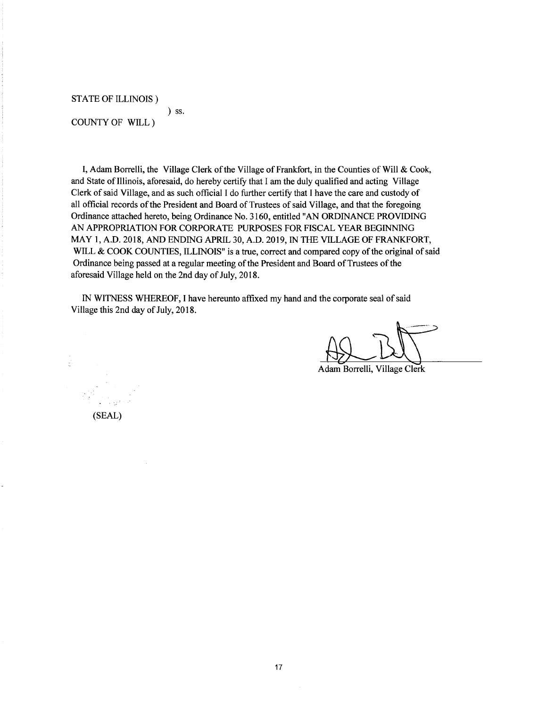STATE OF ILLINOIS)

) ss.

COUNTY OF WILL )

I, Adam Borrelli, the Village Clerk of the Village of Frankfort, in the Counties of Will & Cook, and State of Illinois, aforesaid, do hereby certify that I am the duly qualified and acting Village Clerk of said Village, and as such official I do further certify that I have the care and custody of all official records of the President and Board of Trustees of said Village, and that the foregoing Ordinance attached hereto, being Ordinance No. 3160, entitled "AN ORDINANCE PROVIDING AN APPROPRIATION FOR CORPORA TE PURPOSES FOR FISCAL YEAR BEGINNING MAY 1, A.O. 2018, AND ENDING APRIL 30, A.O. 2019, IN THE VILLAGE OF FRANKFORT, WILL & COOK COUNTIES, ILLINOIS" is a true, correct and compared copy of the original of said Ordinance being passed at a regular meeting of the President and Board of Trustees of the aforesaid Village held on the 2nd day of July, 2018.

IN WITNESS WHEREOF, I have hereunto affixed my hand and the corporate seal of said Village this 2nd day of July, 2018.

Adam Borrelli, Village Clerk

(SEAL)